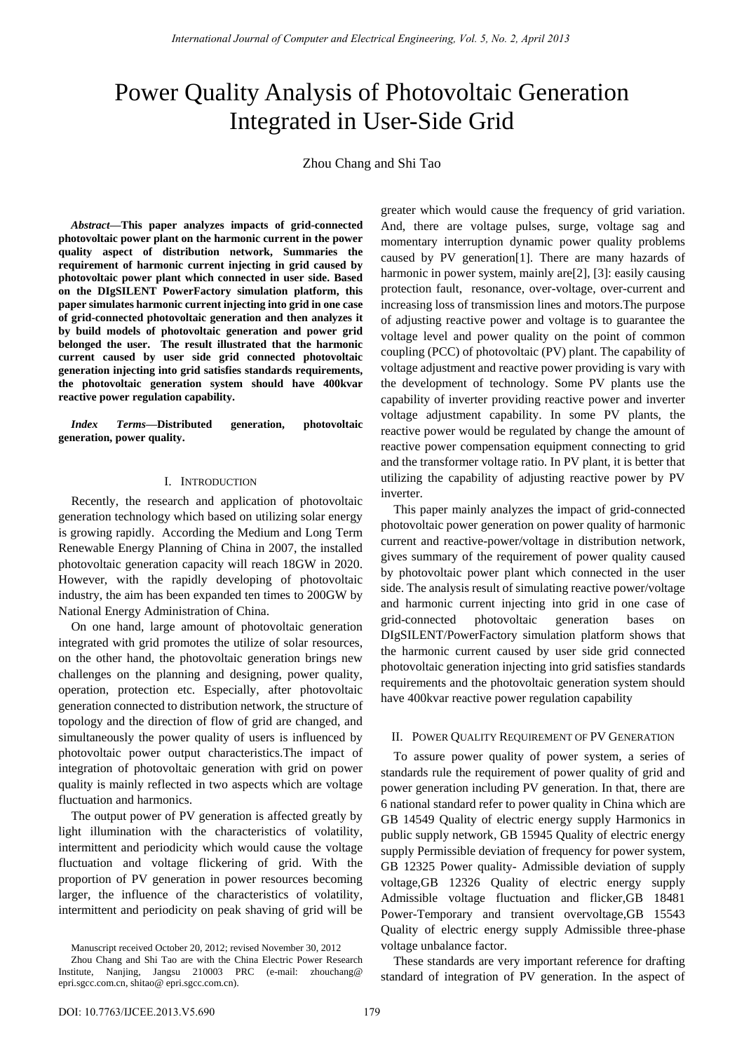# Power Quality Analysis of Photovoltaic Generation Integrated in User-Side Grid

Zhou Chang and Shi Tao

*Abstract***—This paper analyzes impacts of grid-connected photovoltaic power plant on the harmonic current in the power quality aspect of distribution network, Summaries the requirement of harmonic current injecting in grid caused by photovoltaic power plant which connected in user side. Based on the DIgSILENT PowerFactory simulation platform, this paper simulates harmonic current injecting into grid in one case of grid-connected photovoltaic generation and then analyzes it by build models of photovoltaic generation and power grid belonged the user. The result illustrated that the harmonic current caused by user side grid connected photovoltaic generation injecting into grid satisfies standards requirements, the photovoltaic generation system should have 400kvar reactive power regulation capability.** 

*Index Terms***—Distributed generation, photovoltaic generation, power quality.** 

## I. INTRODUCTION

Recently, the research and application of photovoltaic generation technology which based on utilizing solar energy is growing rapidly. According the Medium and Long Term Renewable Energy Planning of China in 2007, the installed photovoltaic generation capacity will reach 18GW in 2020. However, with the rapidly developing of photovoltaic industry, the aim has been expanded ten times to 200GW by National Energy Administration of China.

On one hand, large amount of photovoltaic generation integrated with grid promotes the utilize of solar resources, on the other hand, the photovoltaic generation brings new challenges on the planning and designing, power quality, operation, protection etc. Especially, after photovoltaic generation connected to distribution network, the structure of topology and the direction of flow of grid are changed, and simultaneously the power quality of users is influenced by photovoltaic power output characteristics.The impact of integration of photovoltaic generation with grid on power quality is mainly reflected in two aspects which are voltage fluctuation and harmonics.

The output power of PV generation is affected greatly by light illumination with the characteristics of volatility, intermittent and periodicity which would cause the voltage fluctuation and voltage flickering of grid. With the proportion of PV generation in power resources becoming larger, the influence of the characteristics of volatility, intermittent and periodicity on peak shaving of grid will be

Manuscript received October 20, 2012; revised November 30, 2012

greater which would cause the frequency of grid variation. And, there are voltage pulses, surge, voltage sag and momentary interruption dynamic power quality problems caused by PV generation[1]. There are many hazards of harmonic in power system, mainly are [2], [3]: easily causing protection fault, resonance, over-voltage, over-current and increasing loss of transmission lines and motors.The purpose of adjusting reactive power and voltage is to guarantee the voltage level and power quality on the point of common coupling (PCC) of photovoltaic (PV) plant. The capability of voltage adjustment and reactive power providing is vary with the development of technology. Some PV plants use the capability of inverter providing reactive power and inverter voltage adjustment capability. In some PV plants, the reactive power would be regulated by change the amount of reactive power compensation equipment connecting to grid and the transformer voltage ratio. In PV plant, it is better that utilizing the capability of adjusting reactive power by PV inverter.

This paper mainly analyzes the impact of grid-connected photovoltaic power generation on power quality of harmonic current and reactive-power/voltage in distribution network, gives summary of the requirement of power quality caused by photovoltaic power plant which connected in the user side. The analysis result of simulating reactive power/voltage and harmonic current injecting into grid in one case of grid-connected photovoltaic generation bases on DIgSILENT/PowerFactory simulation platform shows that the harmonic current caused by user side grid connected photovoltaic generation injecting into grid satisfies standards requirements and the photovoltaic generation system should have 400kvar reactive power regulation capability

### II. POWER QUALITY REQUIREMENT OF PV GENERATION

To assure power quality of power system, a series of standards rule the requirement of power quality of grid and power generation including PV generation. In that, there are 6 national standard refer to power quality in China which are GB 14549 Quality of electric energy supply Harmonics in public supply network, GB 15945 Quality of electric energy supply Permissible deviation of frequency for power system, GB 12325 Power quality- Admissible deviation of supply voltage,GB 12326 Quality of electric energy supply Admissible voltage fluctuation and flicker,GB 18481 Power-Temporary and transient overvoltage,GB 15543 Quality of electric energy supply Admissible three-phase voltage unbalance factor.

These standards are very important reference for drafting standard of integration of PV generation. In the aspect of

Zhou Chang and Shi Tao are with the China Electric Power Research Institute, Nanjing, Jangsu 210003 PRC (e-mail: zhouchang@ epri.sgcc.com.cn, shitao@ epri.sgcc.com.cn).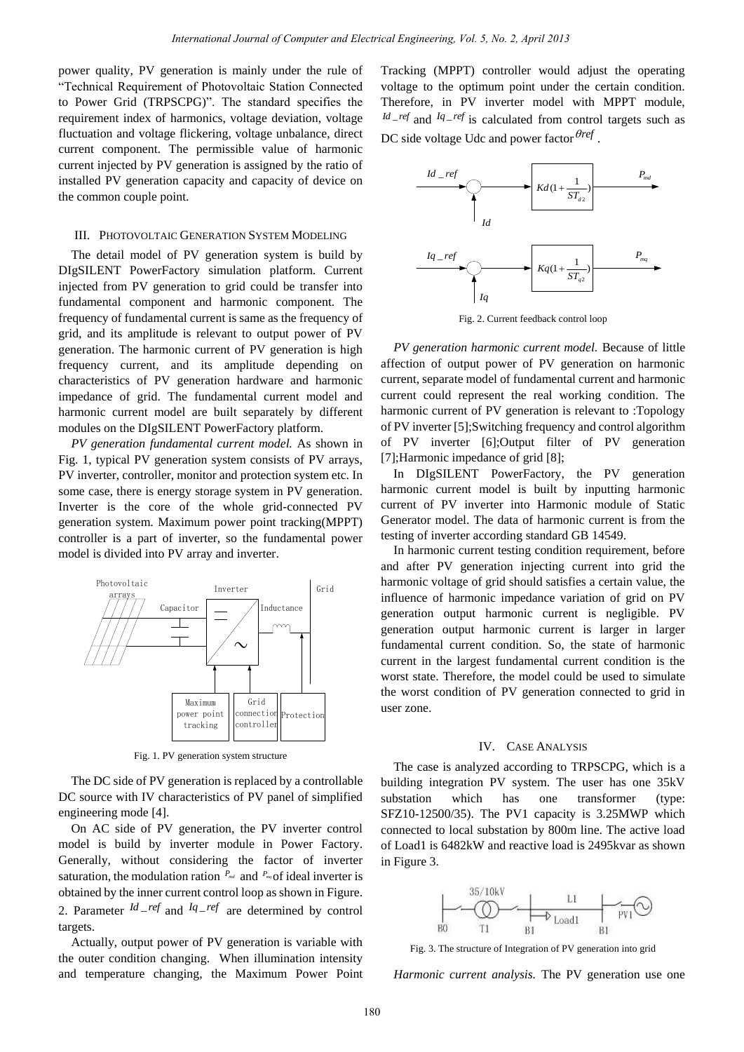power quality, PV generation is mainly under the rule of "Technical Requirement of Photovoltaic Station Connected to Power Grid (TRPSCPG)". The standard specifies the requirement index of harmonics, voltage deviation, voltage fluctuation and voltage flickering, voltage unbalance, direct current component. The permissible value of harmonic current injected by PV generation is assigned by the ratio of installed PV generation capacity and capacity of device on the common couple point.

### III. PHOTOVOLTAIC GENERATION SYSTEM MODELING

The detail model of PV generation system is build by DIgSILENT PowerFactory simulation platform. Current injected from PV generation to grid could be transfer into fundamental component and harmonic component. The frequency of fundamental current is same as the frequency of grid, and its amplitude is relevant to output power of PV generation. The harmonic current of PV generation is high frequency current, and its amplitude depending on characteristics of PV generation hardware and harmonic impedance of grid. The fundamental current model and harmonic current model are built separately by different modules on the DIgSILENT PowerFactory platform. *International Journal of Computer and Historical Engineering, Fot 5, No. 2, April 2013*<br>
nextural is finithally under the nuclei Theoreting, ValPT) controller would be controlled by the same of the same of the same of th

*PV generation fundamental current model.* As shown in Fig. 1, typical PV generation system consists of PV arrays, PV inverter, controller, monitor and protection system etc. In some case, there is energy storage system in PV generation. Inverter is the core of the whole grid-connected PV generation system. Maximum power point tracking(MPPT) controller is a part of inverter, so the fundamental power model is divided into PV array and inverter.



Fig. 1. PV generation system structure

The DC side of PV generation is replaced by a controllable DC source with IV characteristics of PV panel of simplified engineering mode [4].

On AC side of PV generation, the PV inverter control model is build by inverter module in Power Factory. Generally, without considering the factor of inverter saturation, the modulation ration  $P_{md}$  and  $P_{mq}$  of ideal inverter is obtained by the inner current control loop as shown in Figure. 2. Parameter  $\frac{Id}{I}$  *ref* and  $\frac{Iq}{I}$  *ref* are determined by control targets.

Actually, output power of PV generation is variable with the outer condition changing. When illumination intensity and temperature changing, the Maximum Power Point Tracking (MPPT) controller would adjust the operating voltage to the optimum point under the certain condition. Therefore, in PV inverter model with MPPT module,  $^{Id}$ <sub>-ref</sub> and  $^{Iq}$ -ref is calculated from control targets such as



Fig. 2. Current feedback control loop

*PV generation harmonic current model.* Because of little affection of output power of PV generation on harmonic current, separate model of fundamental current and harmonic current could represent the real working condition. The harmonic current of PV generation is relevant to :Topology of PV inverter [5];Switching frequency and control algorithm of PV inverter [6];Output filter of PV generation [7];Harmonic impedance of grid [8];

In DIgSILENT PowerFactory, the PV generation harmonic current model is built by inputting harmonic current of PV inverter into Harmonic module of Static Generator model. The data of harmonic current is from the testing of inverter according standard GB 14549.

In harmonic current testing condition requirement, before and after PV generation injecting current into grid the harmonic voltage of grid should satisfies a certain value, the influence of harmonic impedance variation of grid on PV generation output harmonic current is negligible. PV generation output harmonic current is larger in larger fundamental current condition. So, the state of harmonic current in the largest fundamental current condition is the worst state. Therefore, the model could be used to simulate the worst condition of PV generation connected to grid in user zone.

#### IV. CASE ANALYSIS

The case is analyzed according to TRPSCPG, which is a building integration PV system. The user has one 35kV substation which has one transformer (type: SFZ10-12500/35). The PV1 capacity is 3.25MWP which connected to local substation by 800m line. The active load of Load1 is 6482kW and reactive load is 2495kvar as shown in Figure 3.



Fig. 3. The structure of Integration of PV generation into grid

*Harmonic current analysis.* The PV generation use one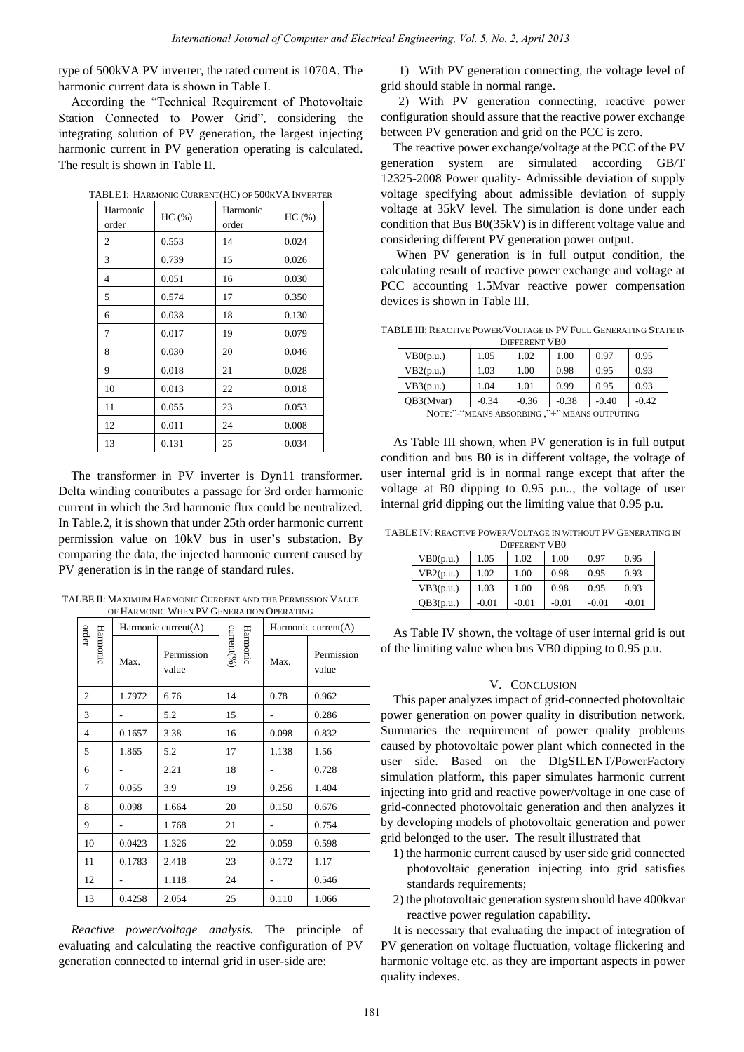type of 500kVA PV inverter, the rated current is 1070A. The harmonic current data is shown in Table I.

According the "Technical Requirement of Photovoltaic Station Connected to Power Grid", considering the integrating solution of PV generation, the largest injecting harmonic current in PV generation operating is calculated. The result is shown in Table II.

| Harmonic | HC(%) | Harmonic | HC(%) |  |
|----------|-------|----------|-------|--|
| order    |       | order    |       |  |
| 2        | 0.553 | 14       | 0.024 |  |
| 3        | 0.739 | 15       | 0.026 |  |
| 4        | 0.051 | 16       | 0.030 |  |
| 5        | 0.574 | 17       | 0.350 |  |
| 6        | 0.038 | 18       | 0.130 |  |
| 7        | 0.017 | 19       | 0.079 |  |
| 8        | 0.030 | 20       | 0.046 |  |
| 9        | 0.018 | 21       | 0.028 |  |
| 10       | 0.013 | 22       | 0.018 |  |
| 11       | 0.055 | 23       | 0.053 |  |
| 12       | 0.011 | 24       | 0.008 |  |
| 13       | 0.131 | 25       | 0.034 |  |

TABLE I: HARMONIC CURRENT(HC) OF 500KVA INVERTER

The transformer in PV inverter is Dyn11 transformer. Delta winding contributes a passage for 3rd order harmonic current in which the 3rd harmonic flux could be neutralized. In Table.2, it is shown that under 25th order harmonic current permission value on 10kV bus in user's substation. By comparing the data, the injected harmonic current caused by PV generation is in the range of standard rules.

TALBE II: MAXIMUM HARMONIC CURRENT AND THE PERMISSION VALUE OF HARMONIC WHEN PV GENERATION OPERATING

|                   |          |                                                                                                                                                                                                                                                                                                                                                                                                                       |                        |                        | International Journal of Computer and Electrical Engineering, Vol. 5, No. 2, April 2013 |            |                                                                                                                                                                                                                                                                                                                       |              |                                      |              |
|-------------------|----------|-----------------------------------------------------------------------------------------------------------------------------------------------------------------------------------------------------------------------------------------------------------------------------------------------------------------------------------------------------------------------------------------------------------------------|------------------------|------------------------|-----------------------------------------------------------------------------------------|------------|-----------------------------------------------------------------------------------------------------------------------------------------------------------------------------------------------------------------------------------------------------------------------------------------------------------------------|--------------|--------------------------------------|--------------|
|                   |          | of 500kVA PV inverter, the rated current is 1070A. The<br>nonic current data is shown in Table I.<br>according the "Technical Requirement of Photovoltaic<br>ion Connected to Power Grid", considering the<br>grating solution of PV generation, the largest injecting<br>monic current in PV generation operating is calculated.<br>result is shown in Table II.<br>TABLE I: HARMONIC CURRENT(HC) OF 500KVA INVERTER |                        |                        |                                                                                         | generation | 1) With PV generation connection<br>grid should stable in normal range.<br>2) With PV generation conne<br>configuration should assure that the re<br>between PV generation and grid on th<br>The reactive power exchange/volta<br>system<br>12325-2008 Power quality- Admissil<br>voltage specifying about admissible | are          |                                      | simulate     |
|                   | Harmonic |                                                                                                                                                                                                                                                                                                                                                                                                                       | Harmonic               |                        |                                                                                         |            | voltage at 35kV level. The simulation                                                                                                                                                                                                                                                                                 |              |                                      |              |
|                   | order    | HC(%)                                                                                                                                                                                                                                                                                                                                                                                                                 | order                  | HC(%)                  |                                                                                         |            | condition that Bus B0(35kV) is in diff                                                                                                                                                                                                                                                                                |              |                                      |              |
| $\mathfrak{2}$    |          | 0.553                                                                                                                                                                                                                                                                                                                                                                                                                 | 14                     | 0.024                  |                                                                                         |            | considering different PV generation p                                                                                                                                                                                                                                                                                 |              |                                      |              |
| 3                 |          | 0.739                                                                                                                                                                                                                                                                                                                                                                                                                 | 15                     | 0.026                  |                                                                                         |            | When PV generation is in full                                                                                                                                                                                                                                                                                         |              |                                      |              |
| 4                 |          | 0.051                                                                                                                                                                                                                                                                                                                                                                                                                 | 16                     | 0.030                  |                                                                                         |            | calculating result of reactive power e                                                                                                                                                                                                                                                                                |              |                                      |              |
| 5                 |          | 0.574                                                                                                                                                                                                                                                                                                                                                                                                                 | 17                     | 0.350                  |                                                                                         |            | PCC accounting 1.5Mvar reactive                                                                                                                                                                                                                                                                                       |              |                                      |              |
|                   |          |                                                                                                                                                                                                                                                                                                                                                                                                                       |                        |                        |                                                                                         |            | devices is shown in Table III.                                                                                                                                                                                                                                                                                        |              |                                      |              |
| 6                 |          | 0.038                                                                                                                                                                                                                                                                                                                                                                                                                 | 18                     | 0.130                  |                                                                                         |            | TABLE III: REACTIVE POWER/VOLTAGE IN PV                                                                                                                                                                                                                                                                               |              |                                      |              |
| $\tau$            |          | 0.017                                                                                                                                                                                                                                                                                                                                                                                                                 | 19                     | 0.079                  |                                                                                         |            |                                                                                                                                                                                                                                                                                                                       |              | <b>DIFFERENT VBO</b>                 |              |
| 8                 |          | 0.030                                                                                                                                                                                                                                                                                                                                                                                                                 | 20                     | 0.046                  |                                                                                         |            | VB0(p.u.)                                                                                                                                                                                                                                                                                                             | 1.05         | 1.02                                 | 1.0          |
| 9                 |          | 0.018                                                                                                                                                                                                                                                                                                                                                                                                                 | 21                     | 0.028                  |                                                                                         |            | VB2(p.u.)                                                                                                                                                                                                                                                                                                             | 1.03         | 1.00                                 | 0.9          |
|                   | 10       | 0.013                                                                                                                                                                                                                                                                                                                                                                                                                 | 22                     | 0.018                  |                                                                                         |            | VB3(p.u.)                                                                                                                                                                                                                                                                                                             | 1.04         | 1.01                                 | 0.9          |
|                   | 11       | 0.055                                                                                                                                                                                                                                                                                                                                                                                                                 | 23                     | 0.053                  |                                                                                         |            | QB3(Mvar)<br>NOTE:"-"MEANS ABSORBING,"+" M                                                                                                                                                                                                                                                                            | $-0.34$      | $-0.36$                              | $-0.3$       |
|                   | 12       | 0.011                                                                                                                                                                                                                                                                                                                                                                                                                 | 24                     | 0.008                  |                                                                                         |            |                                                                                                                                                                                                                                                                                                                       |              |                                      |              |
|                   | 13       | 0.131                                                                                                                                                                                                                                                                                                                                                                                                                 | 25                     | 0.034                  |                                                                                         |            | As Table III shown, when PV gen<br>condition and bus B0 is in different                                                                                                                                                                                                                                               |              |                                      |              |
|                   |          | The transformer in PV inverter is Dyn11 transformer.<br>ta winding contributes a passage for 3rd order harmonic<br>ent in which the 3rd harmonic flux could be neutralized.<br>able.2, it is shown that under 25th order harmonic current<br>mission value on 10kV bus in user's substation. By<br>paring the data, the injected harmonic current caused by<br>generation is in the range of standard rules.          |                        |                        |                                                                                         |            | user internal grid is in normal rang<br>voltage at B0 dipping to 0.95 p.u.<br>internal grid dipping out the limiting<br>TABLE IV: REACTIVE POWER/VOLTAGE IN W<br>VB0(p.u.)<br>VB2(p.u.)                                                                                                                               | 1.05<br>1.02 | <b>DIFFERENT VBO</b><br>1.02<br>1.00 | 1.00<br>0.98 |
|                   |          |                                                                                                                                                                                                                                                                                                                                                                                                                       |                        |                        |                                                                                         |            | VB3(p.u.)                                                                                                                                                                                                                                                                                                             | 1.03         | 1.00                                 | 0.98         |
|                   |          | LBE II: MAXIMUM HARMONIC CURRENT AND THE PERMISSION VALUE                                                                                                                                                                                                                                                                                                                                                             |                        |                        |                                                                                         |            | QB3(p.u.)                                                                                                                                                                                                                                                                                                             | $-0.01$      | $-0.01$                              | $-0.0$       |
|                   |          | OF HARMONIC WHEN PV GENERATION OPERATING<br>Harmonic current(A)                                                                                                                                                                                                                                                                                                                                                       |                        |                        | Harmonic current(A)                                                                     |            |                                                                                                                                                                                                                                                                                                                       |              |                                      |              |
| order<br>Harmonic | Max.     | Permission<br>value                                                                                                                                                                                                                                                                                                                                                                                                   | current(%)<br>Harmonic | Max.                   | Permission<br>value                                                                     |            | As Table IV shown, the voltage of<br>of the limiting value when bus VB0 d                                                                                                                                                                                                                                             |              | V. CONCLUSIO                         |              |
| $\overline{c}$    | 1.7972   | 6.76                                                                                                                                                                                                                                                                                                                                                                                                                  | 14                     | 0.78                   | 0.962                                                                                   |            | This paper analyzes impact of grid-                                                                                                                                                                                                                                                                                   |              |                                      |              |
| 3                 |          | 5.2                                                                                                                                                                                                                                                                                                                                                                                                                   | 15                     |                        | 0.286                                                                                   |            | power generation on power quality i                                                                                                                                                                                                                                                                                   |              |                                      |              |
| $\overline{4}$    | 0.1657   | 3.38                                                                                                                                                                                                                                                                                                                                                                                                                  | 16                     | 0.098                  | 0.832                                                                                   |            | Summaries the requirement of po                                                                                                                                                                                                                                                                                       |              |                                      |              |
| 5                 | 1.865    | 5.2                                                                                                                                                                                                                                                                                                                                                                                                                   | 17                     | 1.138                  | 1.56                                                                                    |            | caused by photovoltaic power plant v                                                                                                                                                                                                                                                                                  |              |                                      |              |
| 6                 |          | 2.21                                                                                                                                                                                                                                                                                                                                                                                                                  | 18                     |                        | 0.728                                                                                   | user       | side.<br>Based                                                                                                                                                                                                                                                                                                        | on           | the                                  | <b>DIg</b>   |
| $\tau$            | 0.055    | 3.9                                                                                                                                                                                                                                                                                                                                                                                                                   | 19                     | 0.256                  | 1.404                                                                                   |            | simulation platform, this paper simu                                                                                                                                                                                                                                                                                  |              |                                      |              |
| 8                 | 0.098    | 1.664                                                                                                                                                                                                                                                                                                                                                                                                                 | 20                     | 0.150                  | 0.676                                                                                   |            | injecting into grid and reactive power<br>grid-connected photovoltaic generatio                                                                                                                                                                                                                                       |              |                                      |              |
| 9                 |          | 1.768                                                                                                                                                                                                                                                                                                                                                                                                                 | 21                     |                        | 0.754                                                                                   |            | by developing models of photovoltaio                                                                                                                                                                                                                                                                                  |              |                                      |              |
| 10                | 0.0423   | 1.326                                                                                                                                                                                                                                                                                                                                                                                                                 | 22                     | 0.059                  | 0.598                                                                                   |            | grid belonged to the user. The result                                                                                                                                                                                                                                                                                 |              |                                      |              |
|                   | 0.1783   | 2.418                                                                                                                                                                                                                                                                                                                                                                                                                 |                        | 0.172                  |                                                                                         |            | 1) the harmonic current caused by u                                                                                                                                                                                                                                                                                   |              |                                      |              |
| 11                |          |                                                                                                                                                                                                                                                                                                                                                                                                                       | 23                     |                        | 1.17                                                                                    |            | photovoltaic generation injecti                                                                                                                                                                                                                                                                                       |              |                                      |              |
| 12                |          | 1.118                                                                                                                                                                                                                                                                                                                                                                                                                 | 24                     |                        | 0.546                                                                                   |            | standards requirements;                                                                                                                                                                                                                                                                                               |              |                                      |              |
| 13                | 0.4258   | 2.054<br>'eactive power/voltage analysis.<br>luating and calculating the reactive configuration of PV<br>eration connected to internal grid in user-side are:                                                                                                                                                                                                                                                         | 25                     | 0.110<br>The principle | 1.066<br>οf                                                                             |            | 2) the photovoltaic generation syste<br>reactive power regulation capabi<br>It is necessary that evaluating the i<br>PV generation on voltage fluctuation,<br>harmonic voltage etc. as they are imp<br>quality indexes.                                                                                               |              |                                      |              |
|                   |          |                                                                                                                                                                                                                                                                                                                                                                                                                       |                        |                        |                                                                                         | 181        |                                                                                                                                                                                                                                                                                                                       |              |                                      |              |

*Reactive power/voltage analysis.* The principle of evaluating and calculating the reactive configuration of PV generation connected to internal grid in user-side are:

1) With PV generation connecting, the voltage level of grid should stable in normal range.

2) With PV generation connecting, reactive power configuration should assure that the reactive power exchange between PV generation and grid on the PCC is zero.

The reactive power exchange/voltage at the PCC of the PV generation system are simulated according GB/T 12325-2008 Power quality- Admissible deviation of supply voltage specifying about admissible deviation of supply voltage at 35kV level. The simulation is done under each condition that Bus B0(35kV) is in different voltage value and considering different PV generation power output.

 When PV generation is in full output condition, the calculating result of reactive power exchange and voltage at PCC accounting 1.5Mvar reactive power compensation devices is shown in Table III.

TABLE III: REACTIVE POWER/VOLTAGE IN PV FULL GENERATING STATE IN DIFFERENT VB0

| VB0(p.u.)                                   | 1.05    | 1.02    | 1.00    | 0.97    | 0.95    |
|---------------------------------------------|---------|---------|---------|---------|---------|
| VB2(p.u.)                                   | 1.03    | 1.00    | 0.98    | 0.95    | 0.93    |
| VB3(p.u.)                                   | 1.04    | 1.01    | 0.99    | 0.95    | 0.93    |
| QB3(Mvar)                                   | $-0.34$ | $-0.36$ | $-0.38$ | $-0.40$ | $-0.42$ |
| NOTE:"-"MEANS ABSORBING,"+" MEANS OUTPUTING |         |         |         |         |         |

As Table III shown, when PV generation is in full output condition and bus B0 is in different voltage, the voltage of user internal grid is in normal range except that after the voltage at B0 dipping to 0.95 p.u.., the voltage of user internal grid dipping out the limiting value that 0.95 p.u.

TABLE IV: REACTIVE POWER/VOLTAGE IN WITHOUT PV GENERATING IN

| <b>DIFFERENT VBO</b> |         |         |         |         |         |  |
|----------------------|---------|---------|---------|---------|---------|--|
| VB0(p.u.)            | 1.05    | 1.02    | 1.00    | 0.97    | 0.95    |  |
| VB2(p.u.)            | 1.02    | 1.00    | 0.98    | 0.95    | 0.93    |  |
| VB3(p.u.)            | 1.03    | 1.00    | 0.98    | 0.95    | 0.93    |  |
| QB3(p.u.)            | $-0.01$ | $-0.01$ | $-0.01$ | $-0.01$ | $-0.01$ |  |

As Table IV shown, the voltage of user internal grid is out of the limiting value when bus VB0 dipping to 0.95 p.u.

## V. CONCLUSION

This paper analyzes impact of grid-connected photovoltaic power generation on power quality in distribution network. Summaries the requirement of power quality problems caused by photovoltaic power plant which connected in the user side. Based on the DIgSILENT/PowerFactory simulation platform, this paper simulates harmonic current injecting into grid and reactive power/voltage in one case of grid-connected photovoltaic generation and then analyzes it by developing models of photovoltaic generation and power grid belonged to the user. The result illustrated that

- 1) the harmonic current caused by user side grid connected photovoltaic generation injecting into grid satisfies standards requirements;
- 2) the photovoltaic generation system should have 400kvar reactive power regulation capability.

It is necessary that evaluating the impact of integration of PV generation on voltage fluctuation, voltage flickering and harmonic voltage etc. as they are important aspects in power quality indexes.